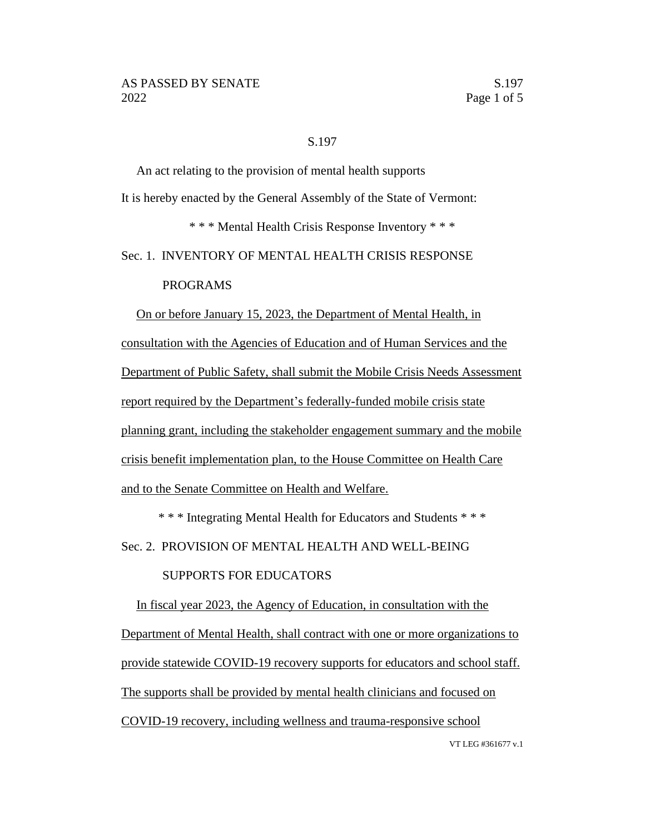#### S.197

An act relating to the provision of mental health supports It is hereby enacted by the General Assembly of the State of Vermont: \* \* \* Mental Health Crisis Response Inventory \* \* \*

Sec. 1. INVENTORY OF MENTAL HEALTH CRISIS RESPONSE

### PROGRAMS

On or before January 15, 2023, the Department of Mental Health, in consultation with the Agencies of Education and of Human Services and the Department of Public Safety, shall submit the Mobile Crisis Needs Assessment report required by the Department's federally-funded mobile crisis state planning grant, including the stakeholder engagement summary and the mobile crisis benefit implementation plan, to the House Committee on Health Care and to the Senate Committee on Health and Welfare.

\* \* \* Integrating Mental Health for Educators and Students \* \* \* Sec. 2. PROVISION OF MENTAL HEALTH AND WELL-BEING

## SUPPORTS FOR EDUCATORS

In fiscal year 2023, the Agency of Education, in consultation with the Department of Mental Health, shall contract with one or more organizations to provide statewide COVID-19 recovery supports for educators and school staff. The supports shall be provided by mental health clinicians and focused on COVID-19 recovery, including wellness and trauma-responsive school

VT LEG #361677 v.1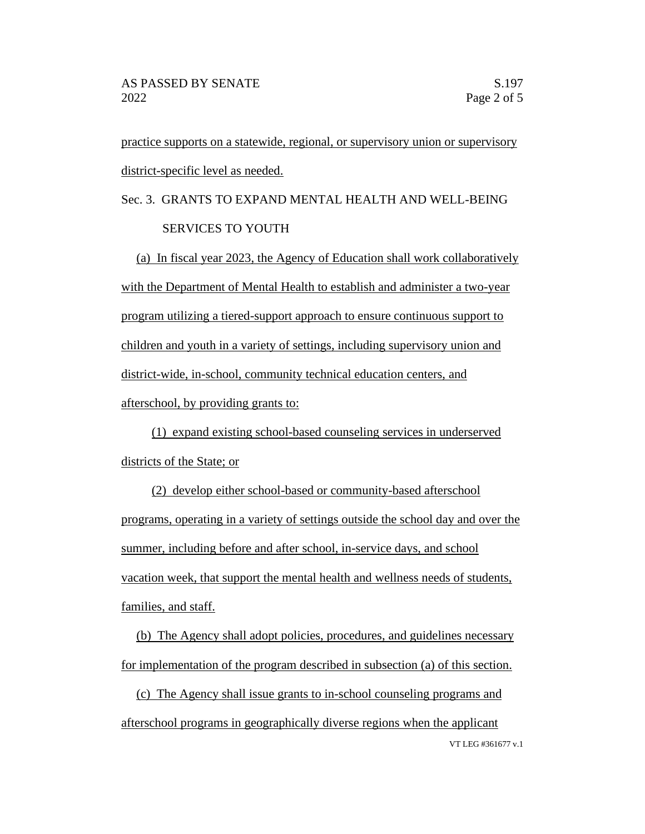practice supports on a statewide, regional, or supervisory union or supervisory district-specific level as needed.

# Sec. 3. GRANTS TO EXPAND MENTAL HEALTH AND WELL-BEING SERVICES TO YOUTH

(a) In fiscal year 2023, the Agency of Education shall work collaboratively with the Department of Mental Health to establish and administer a two-year program utilizing a tiered-support approach to ensure continuous support to children and youth in a variety of settings, including supervisory union and district-wide, in-school, community technical education centers, and afterschool, by providing grants to:

(1) expand existing school-based counseling services in underserved districts of the State; or

(2) develop either school-based or community-based afterschool programs, operating in a variety of settings outside the school day and over the summer, including before and after school, in-service days, and school vacation week, that support the mental health and wellness needs of students, families, and staff.

(b) The Agency shall adopt policies, procedures, and guidelines necessary for implementation of the program described in subsection (a) of this section.

VT LEG #361677 v.1 (c) The Agency shall issue grants to in-school counseling programs and afterschool programs in geographically diverse regions when the applicant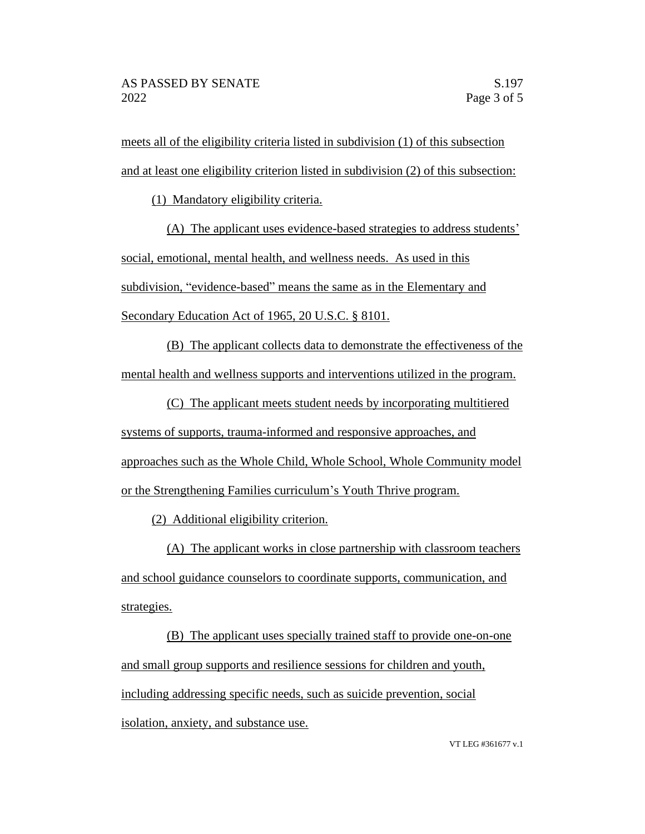meets all of the eligibility criteria listed in subdivision (1) of this subsection and at least one eligibility criterion listed in subdivision (2) of this subsection:

(1) Mandatory eligibility criteria.

(A) The applicant uses evidence-based strategies to address students' social, emotional, mental health, and wellness needs. As used in this subdivision, "evidence-based" means the same as in the Elementary and Secondary Education Act of 1965, 20 U.S.C. § 8101.

(B) The applicant collects data to demonstrate the effectiveness of the mental health and wellness supports and interventions utilized in the program.

(C) The applicant meets student needs by incorporating multitiered systems of supports, trauma-informed and responsive approaches, and approaches such as the Whole Child, Whole School, Whole Community model or the Strengthening Families curriculum's Youth Thrive program.

(2) Additional eligibility criterion.

(A) The applicant works in close partnership with classroom teachers and school guidance counselors to coordinate supports, communication, and strategies.

(B) The applicant uses specially trained staff to provide one-on-one and small group supports and resilience sessions for children and youth, including addressing specific needs, such as suicide prevention, social isolation, anxiety, and substance use.

VT LEG #361677 v.1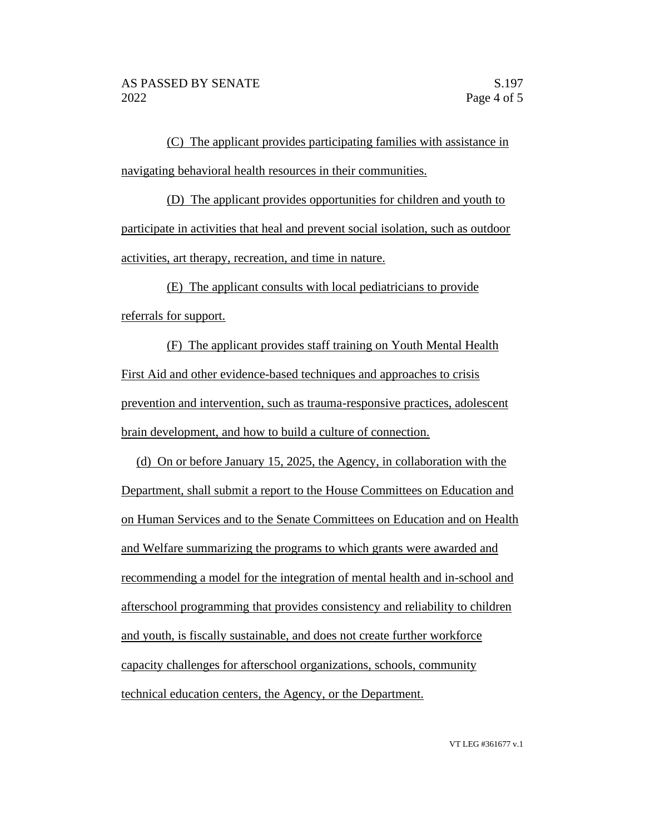(C) The applicant provides participating families with assistance in navigating behavioral health resources in their communities.

(D) The applicant provides opportunities for children and youth to participate in activities that heal and prevent social isolation, such as outdoor activities, art therapy, recreation, and time in nature.

(E) The applicant consults with local pediatricians to provide referrals for support.

(F) The applicant provides staff training on Youth Mental Health First Aid and other evidence-based techniques and approaches to crisis prevention and intervention, such as trauma-responsive practices, adolescent brain development, and how to build a culture of connection.

(d) On or before January 15, 2025, the Agency, in collaboration with the Department, shall submit a report to the House Committees on Education and on Human Services and to the Senate Committees on Education and on Health and Welfare summarizing the programs to which grants were awarded and recommending a model for the integration of mental health and in-school and afterschool programming that provides consistency and reliability to children and youth, is fiscally sustainable, and does not create further workforce capacity challenges for afterschool organizations, schools, community technical education centers, the Agency, or the Department.